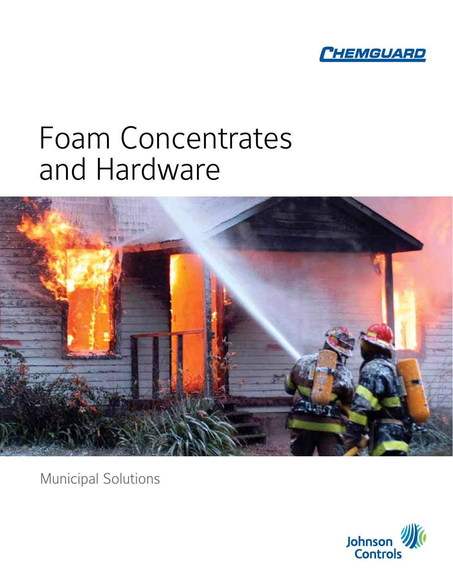

# Foam Concentrates and Hardware



Municipal Solutions

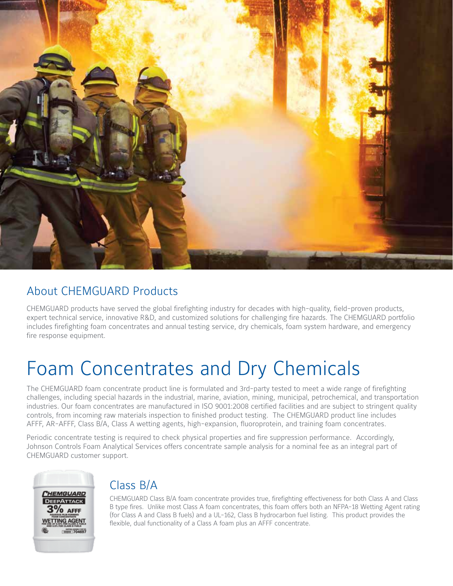

#### About CHEMGUARD Products

CHEMGUARD products have served the global firefighting industry for decades with high-quality, field-proven products, expert technical service, innovative R&D, and customized solutions for challenging fire hazards. The CHEMGUARD portfolio includes firefighting foam concentrates and annual testing service, dry chemicals, foam system hardware, and emergency fire response equipment.

## Foam Concentrates and Dry Chemicals

The CHEMGUARD foam concentrate product line is formulated and 3rd-party tested to meet a wide range of firefighting challenges, including special hazards in the industrial, marine, aviation, mining, municipal, petrochemical, and transportation industries. Our foam concentrates are manufactured in ISO 9001:2008 certified facilities and are subject to stringent quality controls, from incoming raw materials inspection to finished product testing. The CHEMGUARD product line includes AFFF, AR-AFFF, Class B/A, Class A wetting agents, high-expansion, fluoroprotein, and training foam concentrates.

Periodic concentrate testing is required to check physical properties and fire suppression performance. Accordingly, Johnson Controls Foam Analytical Services offers concentrate sample analysis for a nominal fee as an integral part of CHEMGUARD customer support.



#### Class B/A

CHEMGUARD Class B/A foam concentrate provides true, firefighting effectiveness for both Class A and Class B type fires. Unlike most Class A foam concentrates, this foam offers both an NFPA-18 Wetting Agent rating (for Class A and Class B fuels) and a UL-162, Class B hydrocarbon fuel listing. This product provides the flexible, dual functionality of a Class A foam plus an AFFF concentrate.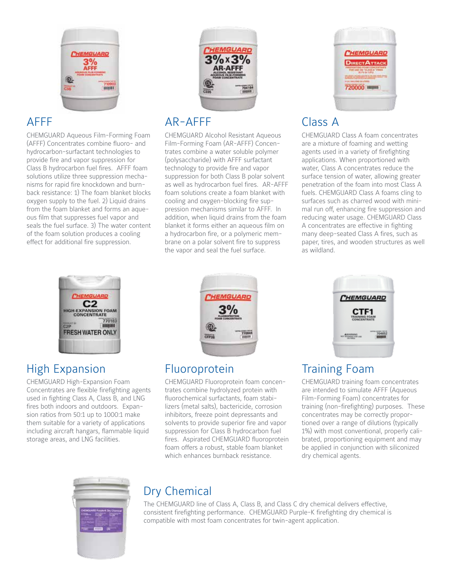

#### AFFF

CHEMGUARD Aqueous Film-Forming Foam (AFFF) Concentrates combine fluoro- and hydrocarbon-surfactant technologies to provide fire and vapor suppression for Class B hydrocarbon fuel fires. AFFF foam solutions utilize three suppression mechanisms for rapid fire knockdown and burnback resistance: 1) The foam blanket blocks oxygen supply to the fuel. 2) Liquid drains from the foam blanket and forms an aqueous film that suppresses fuel vapor and seals the fuel surface. 3) The water content of the foam solution produces a cooling effect for additional fire suppression.



#### AR-AFFF

CHEMGUARD Alcohol Resistant Aqueous Film-Forming Foam (AR-AFFF) Concentrates combine a water soluble polymer (polysaccharide) with AFFF surfactant technology to provide fire and vapor suppression for both Class B polar solvent as well as hydrocarbon fuel fires. AR-AFFF foam solutions create a foam blanket with cooling and oxygen-blocking fire suppression mechanisms similar to AFFF. In addition, when liquid drains from the foam blanket it forms either an aqueous film on a hydrocarbon fire, or a polymeric membrane on a polar solvent fire to suppress the vapor and seal the fuel surface.



### Class A

CHEMGUARD Class A foam concentrates are a mixture of foaming and wetting agents used in a variety of firefighting applications. When proportioned with water, Class A concentrates reduce the surface tension of water, allowing greater penetration of the foam into most Class A fuels. CHEMGUARD Class A foams cling to surfaces such as charred wood with minimal run off, enhancing fire suppression and reducing water usage. CHEMGUARD Class A concentrates are effective in fighting many deep-seated Class A fires, such as paper, tires, and wooden structures as well as wildland.



#### High Expansion

CHEMGUARD High-Expansion Foam Concentrates are flexible firefighting agents used in fighting Class A, Class B, and LNG fires both indoors and outdoors. Expansion ratios from 50:1 up to 1000:1 make them suitable for a variety of applications including aircraft hangars, flammable liquid storage areas, and LNG facilities.



#### Fluoroprotein

CHEMGUARD Fluoroprotein foam concentrates combine hydrolyzed protein with fluorochemical surfactants, foam stabilizers (metal salts), bactericide, corrosion inhibitors, freeze point depressants and solvents to provide superior fire and vapor suppression for Class B hydrocarbon fuel fires. Aspirated CHEMGUARD fluoroprotein foam offers a robust, stable foam blanket which enhances burnback resistance.



#### Training Foam

CHEMGUARD training foam concentrates are intended to simulate AFFF (Aqueous Film-Forming Foam) concentrates for training (non-firefighting) purposes. These concentrates may be correctly proportioned over a range of dilutions (typically 1%) with most conventional, properly calibrated, proportioning equipment and may be applied in conjunction with siliconized dry chemical agents.



### Dry Chemical

The CHEMGUARD line of Class A, Class B, and Class C dry chemical delivers effective, consistent firefighting performance. CHEMGUARD Purple-K firefighting dry chemical is compatible with most foam concentrates for twin-agent application.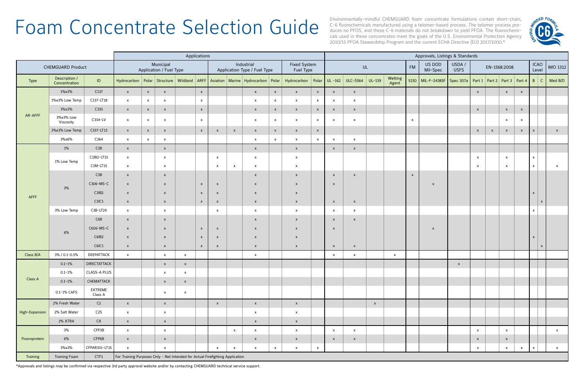# Foam Concentrate Selection Guide Based process. The telomer process pro-<br>Environmentally-mindful CHEMGUARD foam concentrate formulations contain short-chain,

C-6 fluorochemicals manufactured using a telomer-based process. The telomer process produces no PFOS, and these C-6 materials do not breakdown to yield PFOA. The fluorochemicals used in these concentrates meet the goals of the U.S. Environmental Protection Agency 2010/15 PFOA Stewardship Program and the current ECHA Directive (EU) 2017/1000.\*

|                          |                                |                    | Applications                                                                  |                           |                           |                           |                                            |                           |              |                           |                                  |                                                                                                                      | Approvals, Listings & Standards |                           |                           |              |                           |                    |                                                                             |              |              |              |              |                           |                      |              |              |
|--------------------------|--------------------------------|--------------------|-------------------------------------------------------------------------------|---------------------------|---------------------------|---------------------------|--------------------------------------------|---------------------------|--------------|---------------------------|----------------------------------|----------------------------------------------------------------------------------------------------------------------|---------------------------------|---------------------------|---------------------------|--------------|---------------------------|--------------------|-----------------------------------------------------------------------------|--------------|--------------|--------------|--------------|---------------------------|----------------------|--------------|--------------|
| <b>CHEMGUARD Product</b> |                                |                    | Municipal<br>Application / Fuel Type                                          |                           |                           |                           | Industrial<br>Application Type / Fuel Type |                           |              |                           | <b>Fixed System</b><br>Fuel Type |                                                                                                                      | UL                              |                           |                           |              | <b>FM</b>                 | US DOD<br>Mil-Spec | USDA /<br><b>USFS</b>                                                       |              | EN-1568:2008 |              |              |                           | <b>ICAO</b><br>Level | IMO 1312     |              |
| Type                     | Description /<br>Concentration | ID                 |                                                                               |                           |                           |                           |                                            |                           |              |                           |                                  | Hydrocarbon Polar Structure Wildland ARFF Aviation Marine Hydrocarbon Polar Hydrocarbon Polar UL-162 ULC-S564 UL-139 |                                 |                           |                           |              | Wetting<br>Agent          |                    | 5130   MIL-F-24385F   Spec 307a   Part 1   Part 2   Part 3   Part 4   B   C |              |              |              |              |                           |                      |              | Med B/D      |
| AR-AFFF                  | 1%x3%                          | C137               | $\mathbf{x}$                                                                  | $\mathsf{x}$              | $\mathsf{x}$              |                           | $\mathsf{x}$                               |                           |              | $\mathsf{x}$              | $\mathsf{X}$                     | $\mathbf{x}$                                                                                                         | $\mathsf{x}$                    | $\mathbf{x}$              | $\mathsf{x}$              |              |                           |                    |                                                                             |              | $\mathsf{X}$ |              | $\mathsf{X}$ | $\mathsf{x}$              |                      |              |              |
|                          | 1%x3% Low Temp                 | C137-LT18          | $\mathbf{x}$                                                                  | $\mathsf{x}$              | $\mathsf{x}$              |                           | $\mathbf{x}$                               |                           |              | $\boldsymbol{\mathsf{x}}$ | $\mathbf{x}$                     | $\mathsf{x}$                                                                                                         | $\mathsf{x}$                    | $\mathbf{x}$              | $\pmb{\times}$            |              |                           |                    |                                                                             |              |              |              |              |                           |                      |              |              |
|                          | 3%x3%                          | C335               | $\mathbf{x}$                                                                  | $\mathsf{x}$              | $\mathsf{x}$              |                           | $\mathsf X$                                |                           |              | $\mathsf{x}$              | $\mathbf{x}$                     | $\mathsf{x}$                                                                                                         | $\boldsymbol{\mathsf{X}}$       | $\boldsymbol{\mathsf{X}}$ | X                         |              |                           |                    |                                                                             |              | $\mathsf{x}$ |              | $\mathsf{x}$ | $\boldsymbol{\mathsf{X}}$ |                      |              |              |
|                          | 3%x3% Low<br>Viscosity         | C334-LV            | $\mathsf{x}$                                                                  | $\mathsf{x}$              | $\mathsf{x}$              |                           | $\mathsf{x}$                               |                           |              | $\mathsf{x}$              | $\mathbf{x}$                     | $\mathsf{x}$                                                                                                         | X                               | $\mathsf{x}$              | $\boldsymbol{\mathsf{x}}$ |              |                           | $\mathsf{x}$       |                                                                             |              |              |              | $\mathsf{x}$ | $\mathsf{x}$              |                      |              |              |
|                          | 3%x3% Low Temp                 | C337-LT13          | $\mathsf{X}$                                                                  | $\boldsymbol{\mathsf{x}}$ | $\mathsf{x}$              |                           | $\mathsf{x}$                               | $\mathsf{X}$              | $\mathsf{x}$ | $\mathsf{x}$              | $\mathbf{x}$                     | $\mathsf{x}$                                                                                                         | $\mathsf{X}$                    |                           |                           |              |                           |                    |                                                                             |              | $\mathsf{X}$ | $\mathsf{x}$ | $\mathsf{X}$ | $\boldsymbol{\mathsf{x}}$ | $\mathbf{x}$         |              | $\mathsf{x}$ |
|                          | 3%x6%                          | C364               | $\mathbf{x}$                                                                  | $\mathsf{x}$              | $\mathsf{x}$              |                           |                                            |                           |              | $\boldsymbol{\mathsf{x}}$ | $\mathbf{x}$                     | $\mathbf{x}$                                                                                                         | $\mathsf{x}$                    | $\mathbf{x}$              | X                         |              |                           |                    |                                                                             |              |              |              |              |                           |                      |              |              |
| AFFF                     | 1%                             | C1B                | $\mathsf{x}$                                                                  |                           | $\mathsf{x}$              |                           |                                            |                           |              | $\mathsf{x}$              |                                  | $\mathbf{x}$                                                                                                         |                                 | $\mathsf{X}$              | $\mathsf{x}$              |              |                           |                    |                                                                             |              |              |              |              |                           |                      |              |              |
|                          | 1% Low Temp                    | C1IB2-LT15         | $\mathsf{x}$                                                                  |                           | $\mathsf{x}$              |                           |                                            | $\boldsymbol{\mathsf{x}}$ |              | $\mathsf{x}$              |                                  | $\mathsf{x}$                                                                                                         |                                 |                           |                           |              |                           |                    |                                                                             |              | $\mathsf{x}$ |              | $\mathsf{x}$ |                           | $\mathsf{x}$         |              |              |
|                          |                                | $C1M-LT15$         | $\mathsf{x}$                                                                  |                           | $\mathsf{x}$              |                           |                                            | $\mathsf{x}$              | $\mathsf{x}$ | $\boldsymbol{\mathsf{x}}$ |                                  | $\mathbf{x}$                                                                                                         |                                 |                           |                           |              |                           |                    |                                                                             |              | $\mathsf{x}$ |              | $\mathsf{x}$ |                           | $\mathsf{x}$         |              | X            |
|                          | 3%                             | C3B                | $\mathsf{x}$                                                                  |                           | $\mathsf{x}$              |                           |                                            |                           |              | $\mathsf{x}$              |                                  | $\mathsf{x}$                                                                                                         |                                 | $\boldsymbol{\mathsf{x}}$ | $\mathsf{x}$              |              |                           | $\mathsf{x}$       |                                                                             |              |              |              |              |                           |                      |              |              |
|                          |                                | C306-MS-C          | $\boldsymbol{\mathsf{x}}$                                                     |                           | $\boldsymbol{\mathsf{x}}$ |                           | $\mathsf{x}$                               | $\mathsf{X}$              |              | $\boldsymbol{\mathsf{x}}$ |                                  | $\mathsf{x}$                                                                                                         |                                 | $\boldsymbol{\mathsf{x}}$ |                           |              |                           |                    | $\mathsf{x}$                                                                |              |              |              |              |                           |                      |              |              |
|                          |                                | C3IB2              | $\mathsf{x}$                                                                  |                           | $\mathsf{x}$              |                           | $\mathsf{x}$                               | $\mathsf{X}$              |              | $\boldsymbol{\mathsf{x}}$ |                                  | $\mathsf{x}$                                                                                                         |                                 |                           |                           |              |                           |                    |                                                                             |              |              |              |              |                           | $\mathbf{x}$         |              |              |
|                          |                                | C3IC1              | $\mathsf{x}$                                                                  |                           | $\mathsf{x}$              |                           | $\mathsf{x}$                               | $\mathsf{X}$              |              | $\mathsf{x}$              |                                  | $\mathsf{X}$                                                                                                         |                                 | $\mathsf{X}$              | $\pmb{\times}$            |              |                           |                    |                                                                             |              |              |              |              |                           |                      | $\mathbf{x}$ |              |
|                          | 3% Low Temp                    | C3B-LT29           | $\mathsf{x}$                                                                  |                           | $\mathsf{x}$              |                           |                                            | $\boldsymbol{\mathsf{x}}$ |              | $\mathsf{x}$              |                                  | $\mathsf{x}$                                                                                                         |                                 | $\mathbf{x}$              | X                         |              |                           |                    |                                                                             |              |              |              |              |                           | $\mathsf{x}$         |              |              |
|                          | 6%                             | C6B                | $\mathsf{x}$                                                                  |                           | $\boldsymbol{\mathsf{x}}$ |                           |                                            |                           |              | $\boldsymbol{\mathsf{x}}$ |                                  | $\mathsf{X}$                                                                                                         |                                 | $\boldsymbol{\mathsf{x}}$ | $\boldsymbol{\mathsf{x}}$ |              |                           |                    |                                                                             |              |              |              |              |                           |                      |              |              |
|                          |                                | C606-MS-C          | $\boldsymbol{\mathsf{x}}$                                                     |                           | $\mathsf{x}$              |                           | $\mathsf{x}$                               | $\mathsf{x}$              |              | $\boldsymbol{\mathsf{x}}$ |                                  | $\mathsf{x}$                                                                                                         |                                 | $\boldsymbol{\mathsf{x}}$ |                           |              |                           |                    | $\mathsf{x}$                                                                |              |              |              |              |                           |                      |              |              |
|                          |                                | C6IB2              | $\mathsf{x}$                                                                  |                           | $\mathsf{x}$              |                           | $\mathsf{x}$                               | $\boldsymbol{\mathsf{x}}$ |              | $\boldsymbol{\mathsf{x}}$ |                                  | $\mathsf{x}$                                                                                                         |                                 |                           |                           |              |                           |                    |                                                                             |              |              |              |              |                           | $\mathbf{x}$         |              |              |
|                          |                                | C6IC1              | $\mathsf{x}$                                                                  |                           | $\mathsf{x}$              |                           | $\mathsf{x}$                               | $\boldsymbol{\mathsf{x}}$ |              | $\boldsymbol{\mathsf{x}}$ |                                  | $\mathsf{x}$                                                                                                         |                                 | $\mathsf{X}$              | X                         |              |                           |                    |                                                                             |              |              |              |              |                           |                      | $\mathsf{x}$ |              |
| Class B/A                | 3% / 0.1-0.5%                  | DEEPATTACK         | $\mathsf{x}$                                                                  |                           | $\mathsf{x}$              | $\mathsf{x}$              |                                            |                           |              | $\mathsf{x}$              |                                  |                                                                                                                      |                                 | $\mathsf{x}$              | X                         |              | $\boldsymbol{\mathsf{x}}$ |                    |                                                                             |              |              |              |              |                           |                      |              |              |
| Class A                  | $0.1 - 1\%$                    | DIRECTATTACK       |                                                                               |                           | $\mathsf{x}$              | $\mathsf{x}$              |                                            |                           |              |                           |                                  |                                                                                                                      |                                 |                           |                           |              |                           |                    |                                                                             | $\mathsf{x}$ |              |              |              |                           |                      |              |              |
|                          | $0.1 - 1\%$                    | CLASS-A PLUS       |                                                                               |                           | $\mathsf{x}$              | $\boldsymbol{\mathsf{x}}$ |                                            |                           |              |                           |                                  |                                                                                                                      |                                 |                           |                           |              |                           |                    |                                                                             |              |              |              |              |                           |                      |              |              |
|                          | $0.1 - 1\%$                    | CHEMATTACK         |                                                                               |                           | $\mathsf{x}$              | $\mathsf{x}$              |                                            |                           |              |                           |                                  |                                                                                                                      |                                 |                           |                           |              |                           |                    |                                                                             |              |              |              |              |                           |                      |              |              |
|                          | 0.1-1% CAFS                    | EXTREME<br>Class A |                                                                               |                           | $\boldsymbol{\mathsf{x}}$ | $\boldsymbol{\mathsf{x}}$ |                                            |                           |              |                           |                                  |                                                                                                                      |                                 |                           |                           |              |                           |                    |                                                                             |              |              |              |              |                           |                      |              |              |
| High-Expansion           | 2% Fresh Water                 | C <sub>2</sub>     | $\mathsf{x}$                                                                  |                           | $\mathsf{x}$              |                           |                                            | $\boldsymbol{\mathsf{x}}$ |              | $\mathsf{x}$              |                                  | $\mathsf{x}$                                                                                                         |                                 |                           |                           | $\mathbf{x}$ |                           |                    |                                                                             |              |              |              |              |                           |                      |              |              |
|                          | 2% Salt Water                  | C <sub>2</sub> S   | $\mathbf{x}$                                                                  |                           | $\mathsf{x}$              |                           |                                            |                           |              | $\mathsf{x}$              |                                  | $\mathsf{x}$                                                                                                         |                                 |                           |                           |              |                           |                    |                                                                             |              |              |              |              |                           |                      |              |              |
|                          | 2% XTRA                        | CX                 | $\mathsf{x}$                                                                  |                           | $\mathsf{x}$              |                           |                                            |                           |              | $\mathsf{x}$              |                                  | $\mathsf{x}$                                                                                                         |                                 |                           |                           |              |                           |                    |                                                                             |              |              |              |              |                           |                      |              |              |
| Fluoroprotein            | 3%                             | CFP3B              | $\mathsf{x}$                                                                  |                           | $\mathsf{x}$              |                           |                                            |                           | $\mathsf{x}$ | $\mathsf{x}$              |                                  | $\mathsf{x}$                                                                                                         |                                 | $\mathsf{x}$              | $\boldsymbol{\mathsf{x}}$ |              |                           |                    |                                                                             |              | $\mathsf{x}$ |              | $\mathsf{X}$ |                           |                      |              | $\mathsf{x}$ |
|                          | 6%                             | CFP6B              | $\mathsf{x}$                                                                  |                           | $\mathsf{x}$              |                           |                                            |                           |              | $\mathsf{x}$              |                                  | $\mathbf{x}$                                                                                                         |                                 | $\mathbf{x}$              | X                         |              |                           |                    |                                                                             |              | $\mathsf{x}$ |              | $\mathbf{x}$ |                           |                      |              |              |
|                          | 3%x3%                          | CFPAR331-LT15      | $\mathsf{x}$                                                                  |                           | $\mathsf{x}$              |                           |                                            | $\boldsymbol{\mathsf{x}}$ | $\mathsf{x}$ | $\mathsf{x}$              | $\mathbf{x}$                     | $\mathsf{x}$                                                                                                         | $\mathbf{x}$                    |                           |                           |              |                           |                    |                                                                             |              | $\mathsf{x}$ |              | $\mathsf{x}$ | $\mathsf{x}$              | $\mathsf{x}$         |              | $\mathbf{x}$ |
| <b>Training</b>          | <b>Training Foam</b>           | CTF1               | For Training Purposes Only - Not Intended for Actual Firefighting Application |                           |                           |                           |                                            |                           |              |                           |                                  |                                                                                                                      |                                 |                           |                           |              |                           |                    |                                                                             |              |              |              |              |                           |                      |              |              |

\*Approvals and listings may be confirmed via respective 3rd party approval website and/or by contacting CHEMGUARD technical service support.

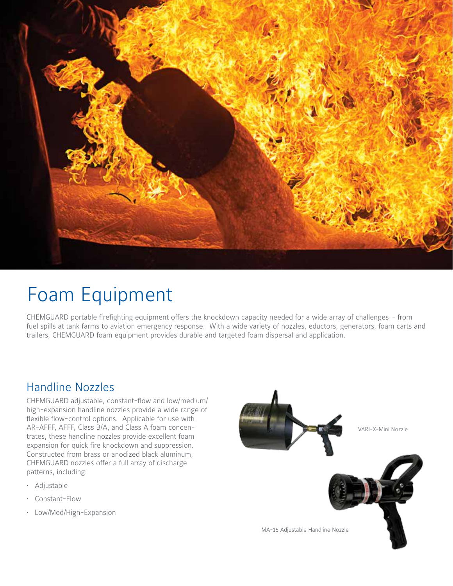

## Foam Equipment

CHEMGUARD portable firefighting equipment offers the knockdown capacity needed for a wide array of challenges – from fuel spills at tank farms to aviation emergency response. With a wide variety of nozzles, eductors, generators, foam carts and trailers, CHEMGUARD foam equipment provides durable and targeted foam dispersal and application.

#### Handline Nozzles

CHEMGUARD adjustable, constant-flow and low/medium/ high-expansion handline nozzles provide a wide range of flexible flow-control options. Applicable for use with AR-AFFF, AFFF, Class B/A, and Class A foam concentrates, these handline nozzles provide excellent foam expansion for quick fire knockdown and suppression. Constructed from brass or anodized black aluminum, CHEMGUARD nozzles offer a full array of discharge patterns, including:

- Adjustable
- Constant-Flow
- Low/Med/High-Expansion

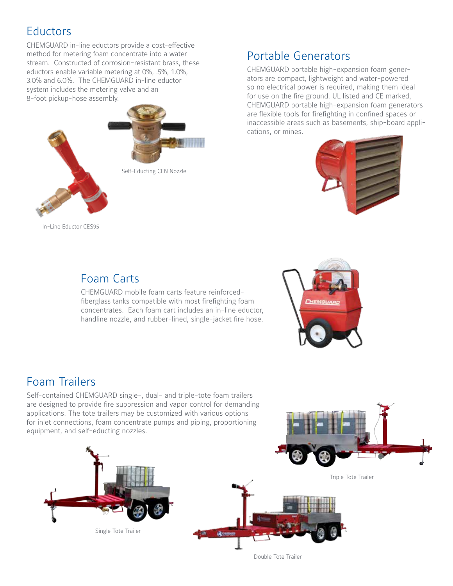#### **Eductors**

CHEMGUARD in-line eductors provide a cost-effective method for metering foam concentrate into a water stream. Constructed of corrosion-resistant brass, these eductors enable variable metering at 0%, .5%, 1.0%, 3.0% and 6.0%. The CHEMGUARD in-line eductor system includes the metering valve and an 8-foot pickup-hose assembly.



#### Portable Generators

CHEMGUARD portable high-expansion foam generators are compact, lightweight and water-powered so no electrical power is required, making them ideal for use on the fire ground. UL listed and CE marked, CHEMGUARD portable high-expansion foam generators are flexible tools for firefighting in confined spaces or inaccessible areas such as basements, ship-board applications, or mines.



In-Line Eductor CES95

#### Foam Carts

CHEMGUARD mobile foam carts feature reinforcedfiberglass tanks compatible with most firefighting foam concentrates. Each foam cart includes an in-line eductor, handline nozzle, and rubber-lined, single-jacket fire hose.

#### Foam Trailers

Self-contained CHEMGUARD single-, dual- and triple-tote foam trailers are designed to provide fire suppression and vapor control for demanding applications. The tote trailers may be customized with various options for inlet connections, foam concentrate pumps and piping, proportioning equipment, and self-educting nozzles.